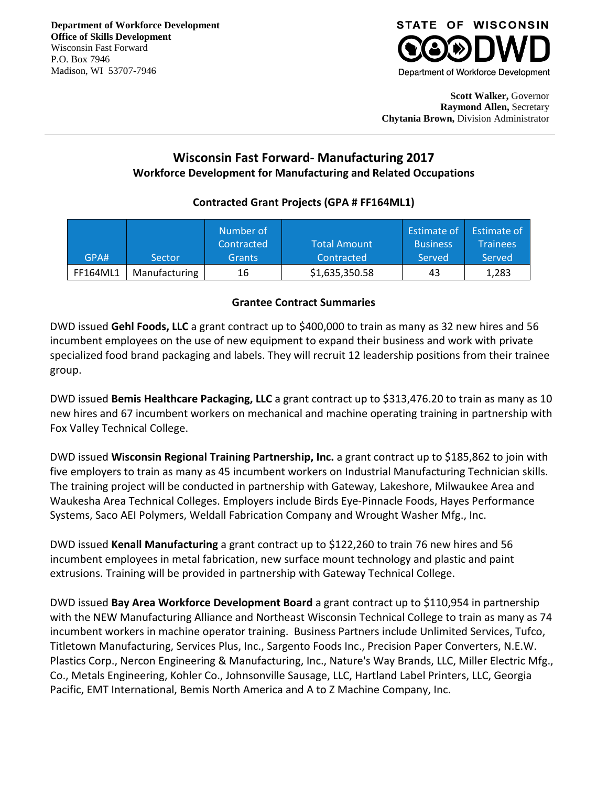## **STATE OF WISCONSIN** Department of Workforce Development

**Scott Walker,** Governor **Raymond Allen,** Secretary **Chytania Brown,** Division Administrator

## **Wisconsin Fast Forward- Manufacturing 2017 Workforce Development for Manufacturing and Related Occupations**

## **Contracted Grant Projects (GPA # FF164ML1)**

|                 |               | Number of  |                     | Estimate of     | Estimate of     |
|-----------------|---------------|------------|---------------------|-----------------|-----------------|
|                 |               | Contracted | <b>Total Amount</b> | <b>Business</b> | <b>Trainees</b> |
| GPA#            | Sector        | Grants     | Contracted          | Served          | Served          |
| <b>FF164ML1</b> | Manufacturing | 16         | \$1,635,350.58      | 43              | 1,283           |

## **Grantee Contract Summaries**

DWD issued **Gehl Foods, LLC** a grant contract up to \$400,000 to train as many as 32 new hires and 56 incumbent employees on the use of new equipment to expand their business and work with private specialized food brand packaging and labels. They will recruit 12 leadership positions from their trainee group.

DWD issued **Bemis Healthcare Packaging, LLC** a grant contract up to \$313,476.20 to train as many as 10 new hires and 67 incumbent workers on mechanical and machine operating training in partnership with Fox Valley Technical College.

DWD issued **Wisconsin Regional Training Partnership, Inc.** a grant contract up to \$185,862 to join with five employers to train as many as 45 incumbent workers on Industrial Manufacturing Technician skills. The training project will be conducted in partnership with Gateway, Lakeshore, Milwaukee Area and Waukesha Area Technical Colleges. Employers include Birds Eye-Pinnacle Foods, Hayes Performance Systems, Saco AEI Polymers, Weldall Fabrication Company and Wrought Washer Mfg., Inc.

DWD issued **Kenall Manufacturing** a grant contract up to \$122,260 to train 76 new hires and 56 incumbent employees in metal fabrication, new surface mount technology and plastic and paint extrusions. Training will be provided in partnership with Gateway Technical College.

DWD issued **Bay Area Workforce Development Board** a grant contract up to \$110,954 in partnership with the NEW Manufacturing Alliance and Northeast Wisconsin Technical College to train as many as 74 incumbent workers in machine operator training. Business Partners include Unlimited Services, Tufco, Titletown Manufacturing, Services Plus, Inc., Sargento Foods Inc., Precision Paper Converters, N.E.W. Plastics Corp., Nercon Engineering & Manufacturing, Inc., Nature's Way Brands, LLC, Miller Electric Mfg., Co., Metals Engineering, Kohler Co., Johnsonville Sausage, LLC, Hartland Label Printers, LLC, Georgia Pacific, EMT International, Bemis North America and A to Z Machine Company, Inc.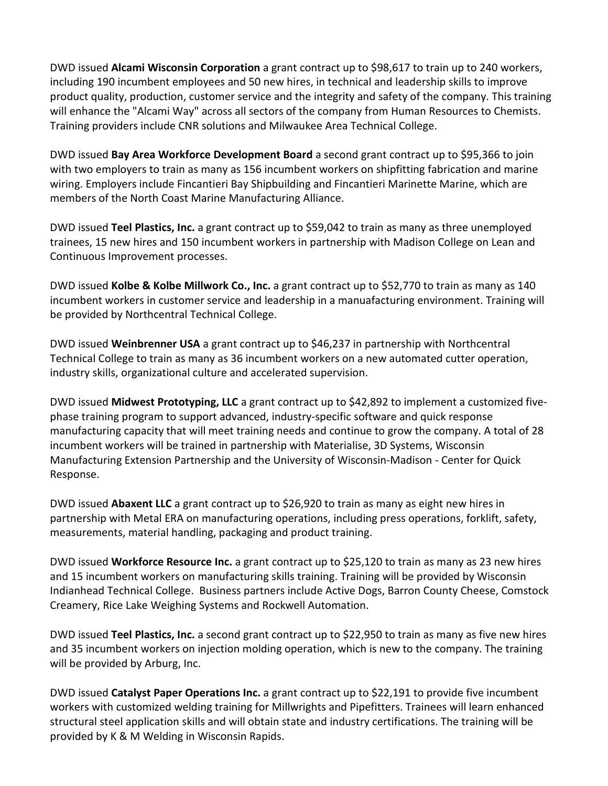DWD issued **Alcami Wisconsin Corporation** a grant contract up to \$98,617 to train up to 240 workers, including 190 incumbent employees and 50 new hires, in technical and leadership skills to improve product quality, production, customer service and the integrity and safety of the company. This training will enhance the "Alcami Way" across all sectors of the company from Human Resources to Chemists. Training providers include CNR solutions and Milwaukee Area Technical College.

DWD issued **Bay Area Workforce Development Board** a second grant contract up to \$95,366 to join with two employers to train as many as 156 incumbent workers on shipfitting fabrication and marine wiring. Employers include Fincantieri Bay Shipbuilding and Fincantieri Marinette Marine, which are members of the North Coast Marine Manufacturing Alliance.

DWD issued **Teel Plastics, Inc.** a grant contract up to \$59,042 to train as many as three unemployed trainees, 15 new hires and 150 incumbent workers in partnership with Madison College on Lean and Continuous Improvement processes.

DWD issued **Kolbe & Kolbe Millwork Co., Inc.** a grant contract up to \$52,770 to train as many as 140 incumbent workers in customer service and leadership in a manuafacturing environment. Training will be provided by Northcentral Technical College.

DWD issued **Weinbrenner USA** a grant contract up to \$46,237 in partnership with Northcentral Technical College to train as many as 36 incumbent workers on a new automated cutter operation, industry skills, organizational culture and accelerated supervision.

DWD issued **Midwest Prototyping, LLC** a grant contract up to \$42,892 to implement a customized fivephase training program to support advanced, industry-specific software and quick response manufacturing capacity that will meet training needs and continue to grow the company. A total of 28 incumbent workers will be trained in partnership with Materialise, 3D Systems, Wisconsin Manufacturing Extension Partnership and the University of Wisconsin-Madison - Center for Quick Response.

DWD issued **Abaxent LLC** a grant contract up to \$26,920 to train as many as eight new hires in partnership with Metal ERA on manufacturing operations, including press operations, forklift, safety, measurements, material handling, packaging and product training.

DWD issued **Workforce Resource Inc.** a grant contract up to \$25,120 to train as many as 23 new hires and 15 incumbent workers on manufacturing skills training. Training will be provided by Wisconsin Indianhead Technical College. Business partners include Active Dogs, Barron County Cheese, Comstock Creamery, Rice Lake Weighing Systems and Rockwell Automation.

DWD issued **Teel Plastics, Inc.** a second grant contract up to \$22,950 to train as many as five new hires and 35 incumbent workers on injection molding operation, which is new to the company. The training will be provided by Arburg, Inc.

DWD issued **Catalyst Paper Operations Inc.** a grant contract up to \$22,191 to provide five incumbent workers with customized welding training for Millwrights and Pipefitters. Trainees will learn enhanced structural steel application skills and will obtain state and industry certifications. The training will be provided by K & M Welding in Wisconsin Rapids.